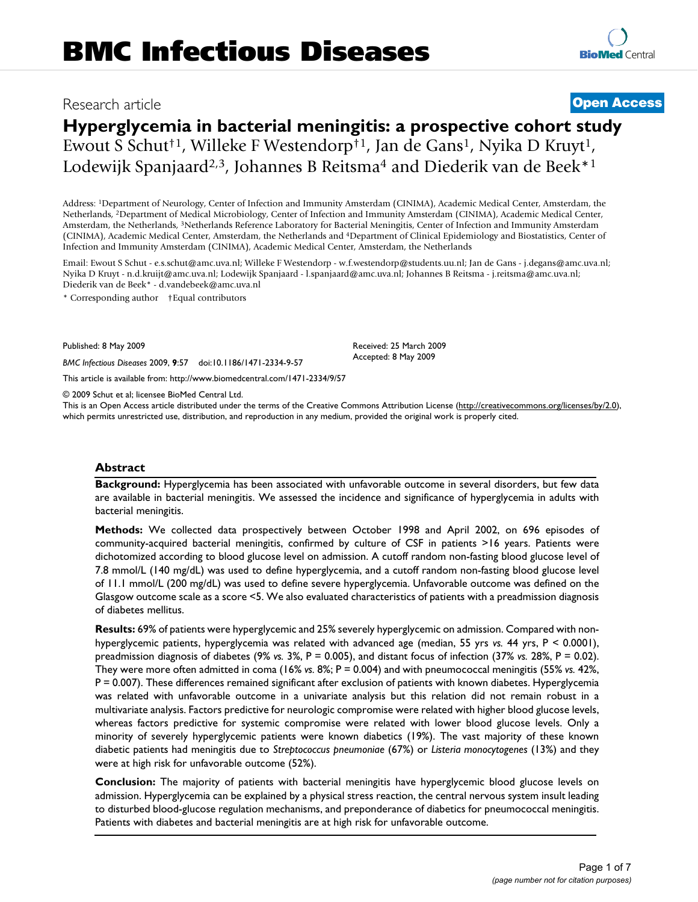# Research article **[Open Access](http://www.biomedcentral.com/info/about/charter/)**

**Hyperglycemia in bacterial meningitis: a prospective cohort study** Ewout S Schut<sup>†1</sup>, Willeke F Westendorp<sup>†1</sup>, Jan de Gans<sup>1</sup>, Nyika D Kruyt<sup>1</sup>, Lodewijk Spanjaard<sup>2,3</sup>, Johannes B Reitsma<sup>4</sup> and Diederik van de Beek<sup>\*1</sup>

Address: 1Department of Neurology, Center of Infection and Immunity Amsterdam (CINIMA), Academic Medical Center, Amsterdam, the Netherlands, 2Department of Medical Microbiology, Center of Infection and Immunity Amsterdam (CINIMA), Academic Medical Center, Amsterdam, the Netherlands, 3Netherlands Reference Laboratory for Bacterial Meningitis, Center of Infection and Immunity Amsterdam (CINIMA), Academic Medical Center, Amsterdam, the Netherlands and 4Department of Clinical Epidemiology and Biostatistics, Center of Infection and Immunity Amsterdam (CINIMA), Academic Medical Center, Amsterdam, the Netherlands

Email: Ewout S Schut - e.s.schut@amc.uva.nl; Willeke F Westendorp - w.f.westendorp@students.uu.nl; Jan de Gans - j.degans@amc.uva.nl; Nyika D Kruyt - n.d.kruijt@amc.uva.nl; Lodewijk Spanjaard - l.spanjaard@amc.uva.nl; Johannes B Reitsma - j.reitsma@amc.uva.nl; Diederik van de Beek\* - d.vandebeek@amc.uva.nl

\* Corresponding author †Equal contributors

Published: 8 May 2009

*BMC Infectious Diseases* 2009, **9**:57 doi:10.1186/1471-2334-9-57

[This article is available from: http://www.biomedcentral.com/1471-2334/9/57](http://www.biomedcentral.com/1471-2334/9/57)

© 2009 Schut et al; licensee BioMed Central Ltd.

This is an Open Access article distributed under the terms of the Creative Commons Attribution License [\(http://creativecommons.org/licenses/by/2.0\)](http://creativecommons.org/licenses/by/2.0), which permits unrestricted use, distribution, and reproduction in any medium, provided the original work is properly cited.

Received: 25 March 2009 Accepted: 8 May 2009

### **Abstract**

**Background:** Hyperglycemia has been associated with unfavorable outcome in several disorders, but few data are available in bacterial meningitis. We assessed the incidence and significance of hyperglycemia in adults with bacterial meningitis.

**Methods:** We collected data prospectively between October 1998 and April 2002, on 696 episodes of community-acquired bacterial meningitis, confirmed by culture of CSF in patients >16 years. Patients were dichotomized according to blood glucose level on admission. A cutoff random non-fasting blood glucose level of 7.8 mmol/L (140 mg/dL) was used to define hyperglycemia, and a cutoff random non-fasting blood glucose level of 11.1 mmol/L (200 mg/dL) was used to define severe hyperglycemia. Unfavorable outcome was defined on the Glasgow outcome scale as a score <5. We also evaluated characteristics of patients with a preadmission diagnosis of diabetes mellitus.

**Results:** 69% of patients were hyperglycemic and 25% severely hyperglycemic on admission. Compared with nonhyperglycemic patients, hyperglycemia was related with advanced age (median, 55 yrs *vs.* 44 yrs, P < 0.0001), preadmission diagnosis of diabetes (9% *vs.* 3%, P = 0.005), and distant focus of infection (37% *vs.* 28%, P = 0.02). They were more often admitted in coma (16% *vs.* 8%; P = 0.004) and with pneumococcal meningitis (55% *vs.* 42%, P = 0.007). These differences remained significant after exclusion of patients with known diabetes. Hyperglycemia was related with unfavorable outcome in a univariate analysis but this relation did not remain robust in a multivariate analysis. Factors predictive for neurologic compromise were related with higher blood glucose levels, whereas factors predictive for systemic compromise were related with lower blood glucose levels. Only a minority of severely hyperglycemic patients were known diabetics (19%). The vast majority of these known diabetic patients had meningitis due to *Streptococcus pneumoniae* (67%) or *Listeria monocytogenes* (13%) and they were at high risk for unfavorable outcome (52%).

**Conclusion:** The majority of patients with bacterial meningitis have hyperglycemic blood glucose levels on admission. Hyperglycemia can be explained by a physical stress reaction, the central nervous system insult leading to disturbed blood-glucose regulation mechanisms, and preponderance of diabetics for pneumococcal meningitis. Patients with diabetes and bacterial meningitis are at high risk for unfavorable outcome.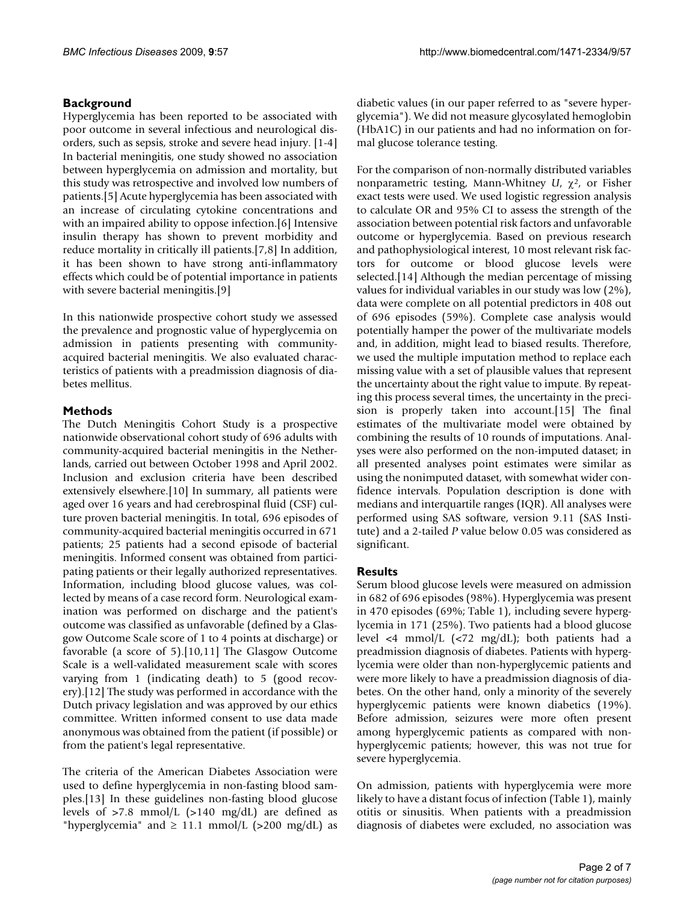## **Background**

Hyperglycemia has been reported to be associated with poor outcome in several infectious and neurological disorders, such as sepsis, stroke and severe head injury. [1-4] In bacterial meningitis, one study showed no association between hyperglycemia on admission and mortality, but this study was retrospective and involved low numbers of patients.[5] Acute hyperglycemia has been associated with an increase of circulating cytokine concentrations and with an impaired ability to oppose infection.[6] Intensive insulin therapy has shown to prevent morbidity and reduce mortality in critically ill patients.[7,8] In addition, it has been shown to have strong anti-inflammatory effects which could be of potential importance in patients with severe bacterial meningitis.[9]

In this nationwide prospective cohort study we assessed the prevalence and prognostic value of hyperglycemia on admission in patients presenting with communityacquired bacterial meningitis. We also evaluated characteristics of patients with a preadmission diagnosis of diabetes mellitus.

## **Methods**

The Dutch Meningitis Cohort Study is a prospective nationwide observational cohort study of 696 adults with community-acquired bacterial meningitis in the Netherlands, carried out between October 1998 and April 2002. Inclusion and exclusion criteria have been described extensively elsewhere.[10] In summary, all patients were aged over 16 years and had cerebrospinal fluid (CSF) culture proven bacterial meningitis. In total, 696 episodes of community-acquired bacterial meningitis occurred in 671 patients; 25 patients had a second episode of bacterial meningitis. Informed consent was obtained from participating patients or their legally authorized representatives. Information, including blood glucose values, was collected by means of a case record form. Neurological examination was performed on discharge and the patient's outcome was classified as unfavorable (defined by a Glasgow Outcome Scale score of 1 to 4 points at discharge) or favorable (a score of 5).[10,11] The Glasgow Outcome Scale is a well-validated measurement scale with scores varying from 1 (indicating death) to 5 (good recovery).[12] The study was performed in accordance with the Dutch privacy legislation and was approved by our ethics committee. Written informed consent to use data made anonymous was obtained from the patient (if possible) or from the patient's legal representative.

The criteria of the American Diabetes Association were used to define hyperglycemia in non-fasting blood samples.[13] In these guidelines non-fasting blood glucose levels of  $>7.8$  mmol/L  $(>140$  mg/dL) are defined as "hyperglycemia" and  $\geq 11.1$  mmol/L (>200 mg/dL) as diabetic values (in our paper referred to as "severe hyperglycemia"). We did not measure glycosylated hemoglobin (HbA1C) in our patients and had no information on formal glucose tolerance testing.

For the comparison of non-normally distributed variables nonparametric testing, Mann-Whitney *U*, χ2, or Fisher exact tests were used. We used logistic regression analysis to calculate OR and 95% CI to assess the strength of the association between potential risk factors and unfavorable outcome or hyperglycemia. Based on previous research and pathophysiological interest, 10 most relevant risk factors for outcome or blood glucose levels were selected.[14] Although the median percentage of missing values for individual variables in our study was low (2%), data were complete on all potential predictors in 408 out of 696 episodes (59%). Complete case analysis would potentially hamper the power of the multivariate models and, in addition, might lead to biased results. Therefore, we used the multiple imputation method to replace each missing value with a set of plausible values that represent the uncertainty about the right value to impute. By repeating this process several times, the uncertainty in the precision is properly taken into account.[15] The final estimates of the multivariate model were obtained by combining the results of 10 rounds of imputations. Analyses were also performed on the non-imputed dataset; in all presented analyses point estimates were similar as using the nonimputed dataset, with somewhat wider confidence intervals. Population description is done with medians and interquartile ranges (IQR). All analyses were performed using SAS software, version 9.11 (SAS Institute) and a 2-tailed *P* value below 0.05 was considered as significant.

## **Results**

Serum blood glucose levels were measured on admission in 682 of 696 episodes (98%). Hyperglycemia was present in 470 episodes (69%; Table 1), including severe hyperglycemia in 171 (25%). Two patients had a blood glucose level <4 mmol/L (<72 mg/dL); both patients had a preadmission diagnosis of diabetes. Patients with hyperglycemia were older than non-hyperglycemic patients and were more likely to have a preadmission diagnosis of diabetes. On the other hand, only a minority of the severely hyperglycemic patients were known diabetics (19%). Before admission, seizures were more often present among hyperglycemic patients as compared with nonhyperglycemic patients; however, this was not true for severe hyperglycemia.

On admission, patients with hyperglycemia were more likely to have a distant focus of infection (Table 1), mainly otitis or sinusitis. When patients with a preadmission diagnosis of diabetes were excluded, no association was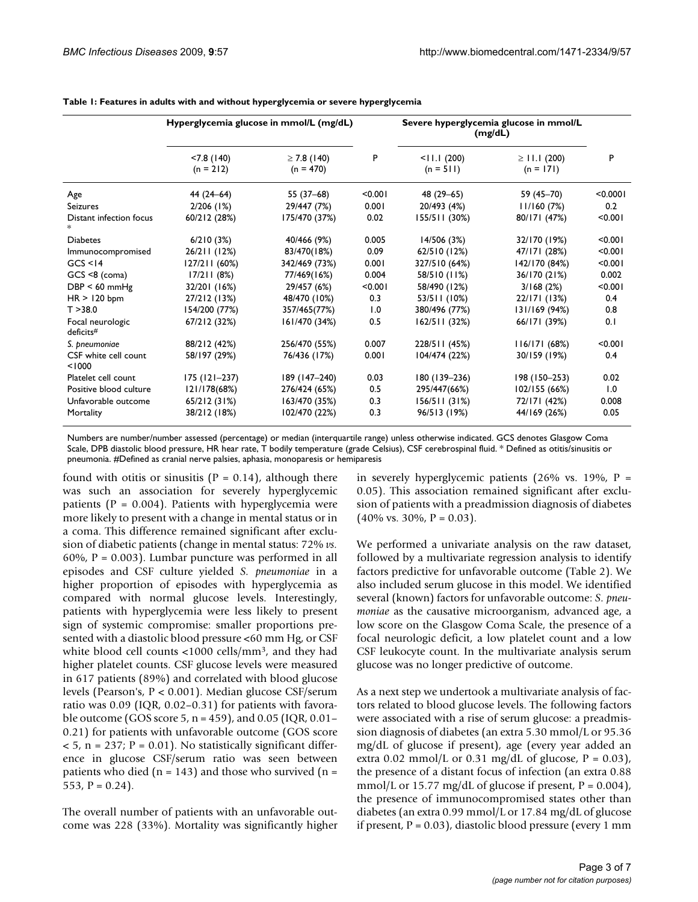|                                | Hyperglycemia glucose in mmol/L (mg/dL) |                                 |         | Severe hyperglycemia glucose in mmol/L<br>(mg/dL) |                                  |          |
|--------------------------------|-----------------------------------------|---------------------------------|---------|---------------------------------------------------|----------------------------------|----------|
|                                | < 7.8(140)<br>$(n = 212)$               | $\geq$ 7.8 (140)<br>$(n = 470)$ | P       | $<$ II.I (200)<br>$(n = 511)$                     | $\geq$ 11.1 (200)<br>$(n = 171)$ | P        |
| Age                            | $44(24-64)$                             | 55 (37-68)                      | < 0.001 | 48 (29 - 65)                                      | 59 (45-70)                       | < 0.0001 |
| <b>Seizures</b>                | $2/206$ (1%)                            | 29/447 (7%)                     | 0.001   | 20/493 (4%)                                       | 11/160(7%)                       | 0.2      |
| Distant infection focus<br>$*$ | 60/212 (28%)                            | 175/470 (37%)                   | 0.02    | 155/511 (30%)                                     | 80/171 (47%)                     | < 0.001  |
| <b>Diabetes</b>                | 6/210(3%)                               | 40/466 (9%)                     | 0.005   | 14/506 (3%)                                       | 32/170 (19%)                     | < 0.001  |
| Immunocompromised              | 26/211 (12%)                            | 83/470(18%)                     | 0.09    | 62/510 (12%)                                      | 47/171 (28%)                     | < 0.001  |
| GCS < 14                       | 127/211 (60%)                           | 342/469 (73%)                   | 0.001   | 327/510 (64%)                                     | 142/170 (84%)                    | < 0.001  |
| $GCS < 8$ (coma)               | 17/211(8%)                              | 77/469(16%)                     | 0.004   | 58/510 (11%)                                      | 36/170 (21%)                     | 0.002    |
| $DBP < 60$ mmHg                | 32/201 (16%)                            | 29/457 (6%)                     | < 0.001 | 58/490 (12%)                                      | 3/168(2%)                        | < 0.001  |
| $HR > 120$ bpm                 | 27/212 (13%)                            | 48/470 (10%)                    | 0.3     | 53/511 (10%)                                      | 22/171 (13%)                     | 0.4      |
| T > 38.0                       | 154/200 (77%)                           | 357/465(77%)                    | 1.0     | 380/496 (77%)                                     | 131/169 (94%)                    | 0.8      |
| Focal neurologic<br>deficits#  | 67/212 (32%)                            | 161/470 (34%)                   | 0.5     | 162/511 (32%)                                     | 66/171 (39%)                     | 0.1      |
| S. pneumoniae                  | 88/212 (42%)                            | 256/470 (55%)                   | 0.007   | 228/511 (45%)                                     | 116/171(68%)                     | < 0.001  |
| CSF white cell count<br>< 1000 | 58/197 (29%)                            | 76/436 (17%)                    | 0.001   | 104/474 (22%)                                     | 30/159 (19%)                     | 0.4      |
| Platelet cell count            | $175(121-237)$                          | 189 (147-240)                   | 0.03    | 180 (139-236)                                     | 198 (150-253)                    | 0.02     |
| Positive blood culture         | 121/178(68%)                            | 276/424 (65%)                   | 0.5     | 295/447(66%)                                      | 102/155 (66%)                    | 1.0      |
| Unfavorable outcome            | 65/212 (31%)                            | 163/470 (35%)                   | 0.3     | 156/511(31%)                                      | 72/171 (42%)                     | 0.008    |
| Mortality                      | 38/212 (18%)                            | 102/470 (22%)                   | 0.3     | 96/513 (19%)                                      | 44/169 (26%)                     | 0.05     |

**Table 1: Features in adults with and without hyperglycemia or severe hyperglycemia**

Numbers are number/number assessed (percentage) or median (interquartile range) unless otherwise indicated. GCS denotes Glasgow Coma Scale, DPB diastolic blood pressure, HR hear rate, T bodily temperature (grade Celsius), CSF cerebrospinal fluid. \* Defined as otitis/sinusitis or pneumonia. #Defined as cranial nerve palsies, aphasia, monoparesis or hemiparesis

found with otitis or sinusitis ( $P = 0.14$ ), although there was such an association for severely hyperglycemic patients ( $P = 0.004$ ). Patients with hyperglycemia were more likely to present with a change in mental status or in a coma. This difference remained significant after exclusion of diabetic patients (change in mental status: 72% *vs.* 60%,  $P = 0.003$ ). Lumbar puncture was performed in all episodes and CSF culture yielded *S. pneumoniae* in a higher proportion of episodes with hyperglycemia as compared with normal glucose levels. Interestingly, patients with hyperglycemia were less likely to present sign of systemic compromise: smaller proportions presented with a diastolic blood pressure <60 mm Hg, or CSF white blood cell counts <1000 cells/mm3, and they had higher platelet counts. CSF glucose levels were measured in 617 patients (89%) and correlated with blood glucose levels (Pearson's, P < 0.001). Median glucose CSF/serum ratio was 0.09 (IQR, 0.02–0.31) for patients with favorable outcome (GOS score 5, n = 459), and 0.05 (IQR, 0.01– 0.21) for patients with unfavorable outcome (GOS score  $<$  5, n = 237; P = 0.01). No statistically significant difference in glucose CSF/serum ratio was seen between patients who died ( $n = 143$ ) and those who survived ( $n =$ 553,  $P = 0.24$ .

The overall number of patients with an unfavorable outcome was 228 (33%). Mortality was significantly higher in severely hyperglycemic patients (26% vs. 19%,  $P =$ 0.05). This association remained significant after exclusion of patients with a preadmission diagnosis of diabetes  $(40\% \text{ vs. } 30\%, P = 0.03).$ 

We performed a univariate analysis on the raw dataset, followed by a multivariate regression analysis to identify factors predictive for unfavorable outcome (Table 2). We also included serum glucose in this model. We identified several (known) factors for unfavorable outcome: *S. pneumoniae* as the causative microorganism, advanced age, a low score on the Glasgow Coma Scale, the presence of a focal neurologic deficit, a low platelet count and a low CSF leukocyte count. In the multivariate analysis serum glucose was no longer predictive of outcome.

As a next step we undertook a multivariate analysis of factors related to blood glucose levels. The following factors were associated with a rise of serum glucose: a preadmission diagnosis of diabetes (an extra 5.30 mmol/L or 95.36 mg/dL of glucose if present), age (every year added an extra 0.02 mmol/L or 0.31 mg/dL of glucose,  $P = 0.03$ ), the presence of a distant focus of infection (an extra 0.88 mmol/L or 15.77 mg/dL of glucose if present,  $P = 0.004$ ), the presence of immunocompromised states other than diabetes (an extra 0.99 mmol/L or 17.84 mg/dL of glucose if present,  $P = 0.03$ ), diastolic blood pressure (every 1 mm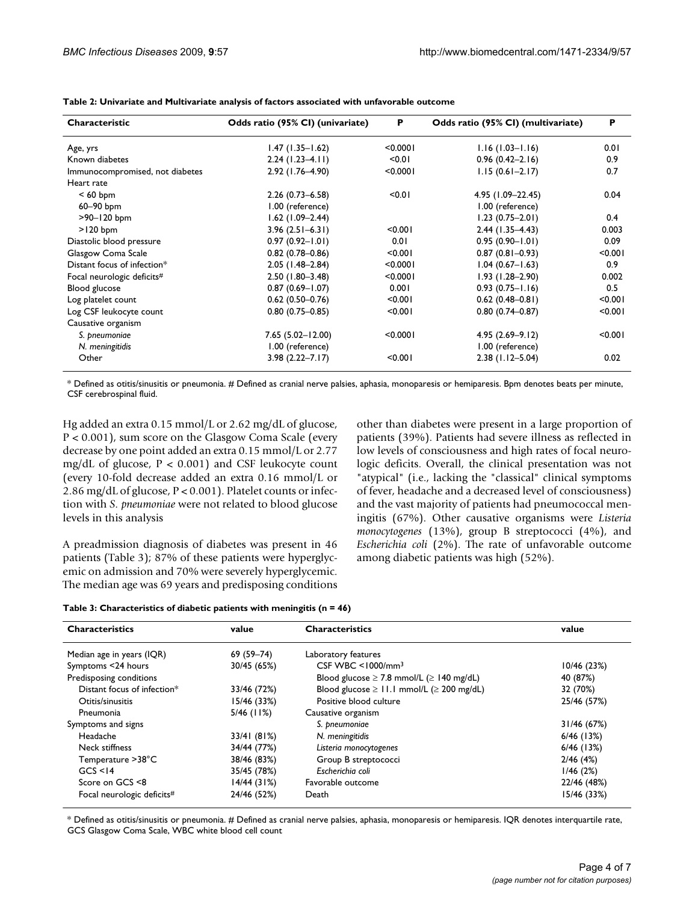| Characteristic                  | Odds ratio (95% CI) (univariate) | P        | Odds ratio (95% CI) (multivariate) | P       |
|---------------------------------|----------------------------------|----------|------------------------------------|---------|
| Age, yrs                        | $1.47(1.35 - 1.62)$              | < 0.0001 | $1.16(1.03 - 1.16)$                | 0.01    |
| Known diabetes                  | $2.24$ (1.23-4.11)               | < 0.01   | $0.96(0.42 - 2.16)$                | 0.9     |
| Immunocompromised, not diabetes | 2.92 (1.76-4.90)                 | < 0.0001 | $1.15(0.61 - 2.17)$                | 0.7     |
| Heart rate                      |                                  |          |                                    |         |
| $< 60$ bpm                      | $2.26(0.73 - 6.58)$              | < 0.01   | $4.95(1.09 - 22.45)$               | 0.04    |
| 60-90 bpm                       | 1.00 (reference)                 |          | 1.00 (reference)                   |         |
| >90-120 bpm                     | $1.62$ (1.09-2.44)               |          | $1.23(0.75 - 2.01)$                | 0.4     |
| $>120$ bpm                      | $3.96(2.51 - 6.31)$              | < 0.001  | $2.44$ (1.35-4.43)                 | 0.003   |
| Diastolic blood pressure        | $0.97(0.92 - 1.01)$              | 0.01     | $0.95(0.90 - 1.01)$                | 0.09    |
| Glasgow Coma Scale              | $0.82(0.78 - 0.86)$              | < 0.001  | $0.87(0.81 - 0.93)$                | < 0.001 |
| Distant focus of infection*     | $2.05(1.48-2.84)$                | < 0.0001 | $1.04(0.67 - 1.63)$                | 0.9     |
| Focal neurologic deficits#      | $2.50(1.80-3.48)$                | < 0.0001 | $1.93(1.28 - 2.90)$                | 0.002   |
| Blood glucose                   | $0.87(0.69 - 1.07)$              | 0.001    | $0.93(0.75 - 1.16)$                | 0.5     |
| Log platelet count              | $0.62(0.50 - 0.76)$              | < 0.001  | $0.62(0.48 - 0.81)$                | < 0.001 |
| Log CSF leukocyte count         | $0.80(0.75 - 0.85)$              | < 0.001  | $0.80(0.74 - 0.87)$                | < 0.001 |
| Causative organism              |                                  |          |                                    |         |
| S. pneumoniae                   | $7.65(5.02 - 12.00)$             | < 0.0001 | $4.95(2.69-9.12)$                  | < 0.001 |
| N. meningitidis                 | 1.00 (reference)                 |          | 1.00 (reference)                   |         |
| Other                           | $3.98(2.22 - 7.17)$              | < 0.001  | $2.38$ (1.12-5.04)                 | 0.02    |

**Table 2: Univariate and Multivariate analysis of factors associated with unfavorable outcome**

\* Defined as otitis/sinusitis or pneumonia. # Defined as cranial nerve palsies, aphasia, monoparesis or hemiparesis. Bpm denotes beats per minute, CSF cerebrospinal fluid.

Hg added an extra 0.15 mmol/L or 2.62 mg/dL of glucose, P < 0.001), sum score on the Glasgow Coma Scale (every decrease by one point added an extra 0.15 mmol/L or 2.77 mg/dL of glucose,  $P < 0.001$ ) and CSF leukocyte count (every 10-fold decrease added an extra 0.16 mmol/L or 2.86 mg/dL of glucose, P < 0.001). Platelet counts or infection with *S. pneumoniae* were not related to blood glucose levels in this analysis

A preadmission diagnosis of diabetes was present in 46 patients (Table 3); 87% of these patients were hyperglycemic on admission and 70% were severely hyperglycemic. The median age was 69 years and predisposing conditions other than diabetes were present in a large proportion of patients (39%). Patients had severe illness as reflected in low levels of consciousness and high rates of focal neurologic deficits. Overall, the clinical presentation was not "atypical" (i.e., lacking the "classical" clinical symptoms of fever, headache and a decreased level of consciousness) and the vast majority of patients had pneumococcal meningitis (67%). Other causative organisms were *Listeria monocytogenes* (13%), group B streptococci (4%), and *Escherichia coli* (2%). The rate of unfavorable outcome among diabetic patients was high (52%).

| Table 3: Characteristics of diabetic patients with meningitis (n = 46) $\,$ |  |  |  |
|-----------------------------------------------------------------------------|--|--|--|
|-----------------------------------------------------------------------------|--|--|--|

| <b>Characteristics</b>      | value        | <b>Characteristics</b>                               | value        |
|-----------------------------|--------------|------------------------------------------------------|--------------|
| Median age in years (IQR)   | 69 (59–74)   | Laboratory features                                  |              |
| Symptoms <24 hours          | 30/45 (65%)  | CSF WBC $\leq$ 1000/mm <sup>3</sup>                  | 10/46 (23%)  |
| Predisposing conditions     |              | Blood glucose $\geq$ 7.8 mmol/L ( $\geq$ 140 mg/dL)  | 40 (87%)     |
| Distant focus of infection* | 33/46 (72%)  | Blood glucose $\geq$ 11.1 mmol/L ( $\geq$ 200 mg/dL) | 32 (70%)     |
| Otitis/sinusitis            | 15/46 (33%)  | Positive blood culture                               | 25/46 (57%)  |
| Pneumonia                   | $5/46$ (11%) | Causative organism                                   |              |
| Symptoms and signs          |              | S. pneumoniae                                        | 31/46 (67%)  |
| Headache                    | 33/41 (81%)  | N. meningitidis                                      | $6/46$ (13%) |
| Neck stiffness              | 34/44 (77%)  | Listeria monocytogenes                               | $6/46$ (13%) |
| Temperature >38°C           | 38/46 (83%)  | Group B streptococci                                 | 2/46(4%)     |
| GCS < 14                    | 35/45 (78%)  | Escherichia coli                                     | 1/46(2%)     |
| Score on GCS <8             | 14/44(31%)   | Favorable outcome                                    | 22/46 (48%)  |
| Focal neurologic deficits#  | 24/46 (52%)  | Death                                                | 15/46 (33%)  |

\* Defined as otitis/sinusitis or pneumonia. # Defined as cranial nerve palsies, aphasia, monoparesis or hemiparesis. IQR denotes interquartile rate, GCS Glasgow Coma Scale, WBC white blood cell count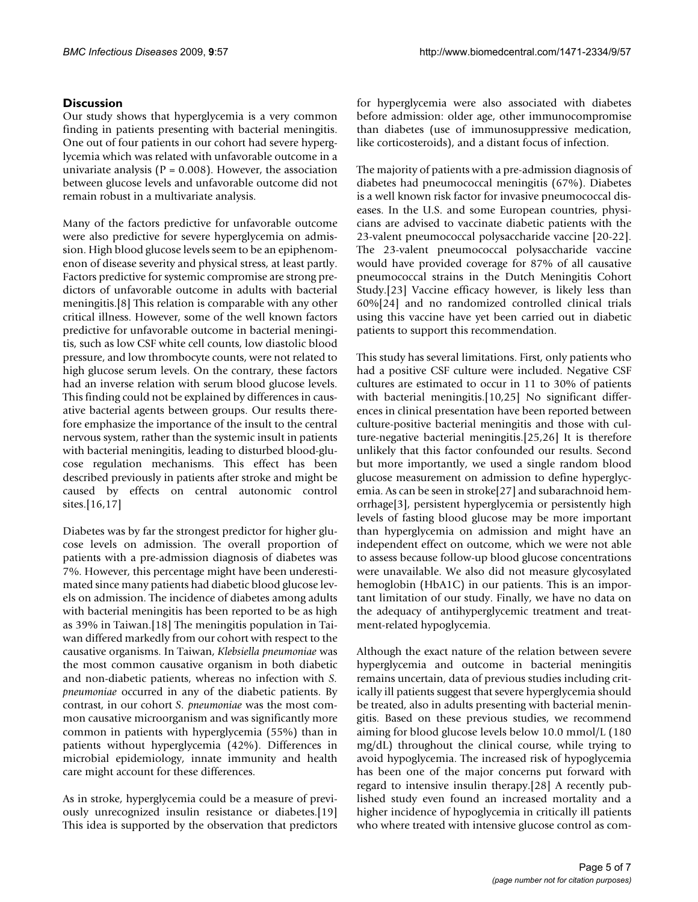## **Discussion**

Our study shows that hyperglycemia is a very common finding in patients presenting with bacterial meningitis. One out of four patients in our cohort had severe hyperglycemia which was related with unfavorable outcome in a univariate analysis ( $P = 0.008$ ). However, the association between glucose levels and unfavorable outcome did not remain robust in a multivariate analysis.

Many of the factors predictive for unfavorable outcome were also predictive for severe hyperglycemia on admission. High blood glucose levels seem to be an epiphenomenon of disease severity and physical stress, at least partly. Factors predictive for systemic compromise are strong predictors of unfavorable outcome in adults with bacterial meningitis.[8] This relation is comparable with any other critical illness. However, some of the well known factors predictive for unfavorable outcome in bacterial meningitis, such as low CSF white cell counts, low diastolic blood pressure, and low thrombocyte counts, were not related to high glucose serum levels. On the contrary, these factors had an inverse relation with serum blood glucose levels. This finding could not be explained by differences in causative bacterial agents between groups. Our results therefore emphasize the importance of the insult to the central nervous system, rather than the systemic insult in patients with bacterial meningitis, leading to disturbed blood-glucose regulation mechanisms. This effect has been described previously in patients after stroke and might be caused by effects on central autonomic control sites.[16,17]

Diabetes was by far the strongest predictor for higher glucose levels on admission. The overall proportion of patients with a pre-admission diagnosis of diabetes was 7%. However, this percentage might have been underestimated since many patients had diabetic blood glucose levels on admission. The incidence of diabetes among adults with bacterial meningitis has been reported to be as high as 39% in Taiwan.[18] The meningitis population in Taiwan differed markedly from our cohort with respect to the causative organisms. In Taiwan, *Klebsiella pneumoniae* was the most common causative organism in both diabetic and non-diabetic patients, whereas no infection with *S. pneumoniae* occurred in any of the diabetic patients. By contrast, in our cohort *S. pneumoniae* was the most common causative microorganism and was significantly more common in patients with hyperglycemia (55%) than in patients without hyperglycemia (42%). Differences in microbial epidemiology, innate immunity and health care might account for these differences.

As in stroke, hyperglycemia could be a measure of previously unrecognized insulin resistance or diabetes.[19] This idea is supported by the observation that predictors

for hyperglycemia were also associated with diabetes before admission: older age, other immunocompromise than diabetes (use of immunosuppressive medication, like corticosteroids), and a distant focus of infection.

The majority of patients with a pre-admission diagnosis of diabetes had pneumococcal meningitis (67%). Diabetes is a well known risk factor for invasive pneumococcal diseases. In the U.S. and some European countries, physicians are advised to vaccinate diabetic patients with the 23-valent pneumococcal polysaccharide vaccine [20-22]. The 23-valent pneumococcal polysaccharide vaccine would have provided coverage for 87% of all causative pneumococcal strains in the Dutch Meningitis Cohort Study.[23] Vaccine efficacy however, is likely less than 60%[24] and no randomized controlled clinical trials using this vaccine have yet been carried out in diabetic patients to support this recommendation.

This study has several limitations. First, only patients who had a positive CSF culture were included. Negative CSF cultures are estimated to occur in 11 to 30% of patients with bacterial meningitis.[10,25] No significant differences in clinical presentation have been reported between culture-positive bacterial meningitis and those with culture-negative bacterial meningitis.[25,26] It is therefore unlikely that this factor confounded our results. Second but more importantly, we used a single random blood glucose measurement on admission to define hyperglycemia. As can be seen in stroke[27] and subarachnoid hemorrhage[3], persistent hyperglycemia or persistently high levels of fasting blood glucose may be more important than hyperglycemia on admission and might have an independent effect on outcome, which we were not able to assess because follow-up blood glucose concentrations were unavailable. We also did not measure glycosylated hemoglobin (HbA1C) in our patients. This is an important limitation of our study. Finally, we have no data on the adequacy of antihyperglycemic treatment and treatment-related hypoglycemia.

Although the exact nature of the relation between severe hyperglycemia and outcome in bacterial meningitis remains uncertain, data of previous studies including critically ill patients suggest that severe hyperglycemia should be treated, also in adults presenting with bacterial meningitis. Based on these previous studies, we recommend aiming for blood glucose levels below 10.0 mmol/L (180 mg/dL) throughout the clinical course, while trying to avoid hypoglycemia. The increased risk of hypoglycemia has been one of the major concerns put forward with regard to intensive insulin therapy.[28] A recently published study even found an increased mortality and a higher incidence of hypoglycemia in critically ill patients who where treated with intensive glucose control as com-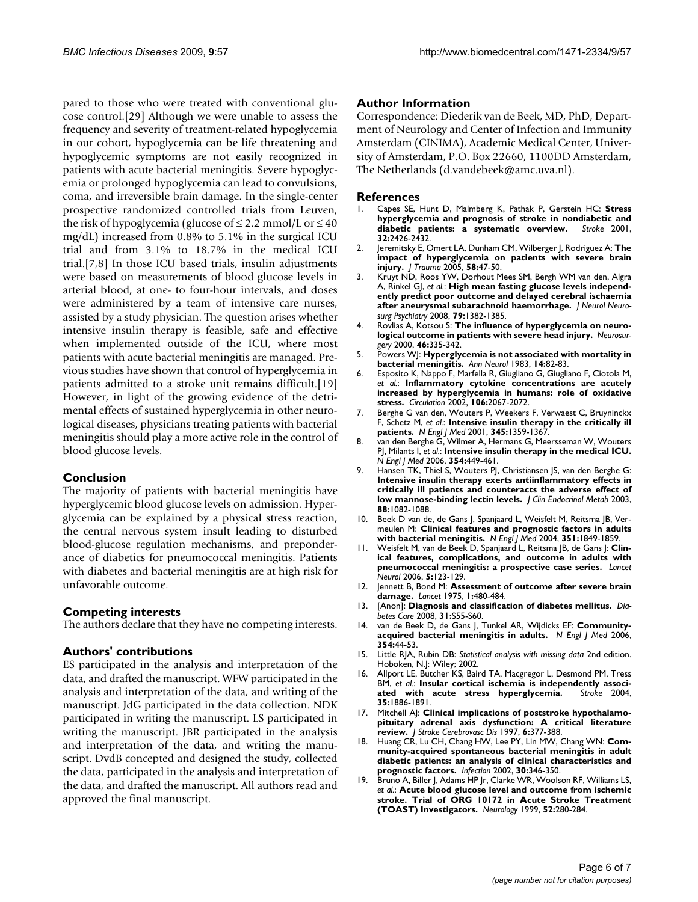pared to those who were treated with conventional glucose control.[29] Although we were unable to assess the frequency and severity of treatment-related hypoglycemia in our cohort, hypoglycemia can be life threatening and hypoglycemic symptoms are not easily recognized in patients with acute bacterial meningitis. Severe hypoglycemia or prolonged hypoglycemia can lead to convulsions, coma, and irreversible brain damage. In the single-center prospective randomized controlled trials from Leuven, the risk of hypoglycemia (glucose of  $\leq$  2.2 mmol/L or  $\leq$  40 mg/dL) increased from 0.8% to 5.1% in the surgical ICU trial and from 3.1% to 18.7% in the medical ICU trial.[7,8] In those ICU based trials, insulin adjustments were based on measurements of blood glucose levels in arterial blood, at one- to four-hour intervals, and doses were administered by a team of intensive care nurses, assisted by a study physician. The question arises whether intensive insulin therapy is feasible, safe and effective when implemented outside of the ICU, where most patients with acute bacterial meningitis are managed. Previous studies have shown that control of hyperglycemia in patients admitted to a stroke unit remains difficult.[19] However, in light of the growing evidence of the detrimental effects of sustained hyperglycemia in other neurological diseases, physicians treating patients with bacterial meningitis should play a more active role in the control of blood glucose levels.

#### **Conclusion**

The majority of patients with bacterial meningitis have hyperglycemic blood glucose levels on admission. Hyperglycemia can be explained by a physical stress reaction, the central nervous system insult leading to disturbed blood-glucose regulation mechanisms, and preponderance of diabetics for pneumococcal meningitis. Patients with diabetes and bacterial meningitis are at high risk for unfavorable outcome.

#### **Competing interests**

The authors declare that they have no competing interests.

#### **Authors' contributions**

ES participated in the analysis and interpretation of the data, and drafted the manuscript. WFW participated in the analysis and interpretation of the data, and writing of the manuscript. JdG participated in the data collection. NDK participated in writing the manuscript. LS participated in writing the manuscript. JBR participated in the analysis and interpretation of the data, and writing the manuscript. DvdB concepted and designed the study, collected the data, participated in the analysis and interpretation of the data, and drafted the manuscript. All authors read and approved the final manuscript.

#### **Author Information**

Correspondence: Diederik van de Beek, MD, PhD, Department of Neurology and Center of Infection and Immunity Amsterdam (CINIMA), Academic Medical Center, University of Amsterdam, P.O. Box 22660, 1100DD Amsterdam, The Netherlands (d.vandebeek@amc.uva.nl).

#### **References**

- 1. Capes SE, Hunt D, Malmberg K, Pathak P, Gerstein HC: **[Stress](http://www.ncbi.nlm.nih.gov/entrez/query.fcgi?cmd=Retrieve&db=PubMed&dopt=Abstract&list_uids=11588337) [hyperglycemia and prognosis of stroke in nondiabetic and](http://www.ncbi.nlm.nih.gov/entrez/query.fcgi?cmd=Retrieve&db=PubMed&dopt=Abstract&list_uids=11588337) [diabetic patients: a systematic overview.](http://www.ncbi.nlm.nih.gov/entrez/query.fcgi?cmd=Retrieve&db=PubMed&dopt=Abstract&list_uids=11588337)** *Stroke* 2001, **32:**2426-2432.
- 2. Jeremitsky E, Omert LA, Dunham CM, Wilberger J, Rodriguez A: **[The](http://www.ncbi.nlm.nih.gov/entrez/query.fcgi?cmd=Retrieve&db=PubMed&dopt=Abstract&list_uids=15674149) [impact of hyperglycemia on patients with severe brain](http://www.ncbi.nlm.nih.gov/entrez/query.fcgi?cmd=Retrieve&db=PubMed&dopt=Abstract&list_uids=15674149) [injury.](http://www.ncbi.nlm.nih.gov/entrez/query.fcgi?cmd=Retrieve&db=PubMed&dopt=Abstract&list_uids=15674149)** *J Trauma* 2005, **58:**47-50.
- 3. Kruyt ND, Roos YW, Dorhout Mees SM, Bergh WM van den, Algra A, Rinkel GJ, *et al.*: **[High mean fasting glucose levels independ](http://www.ncbi.nlm.nih.gov/entrez/query.fcgi?cmd=Retrieve&db=PubMed&dopt=Abstract&list_uids=18403438)[ently predict poor outcome and delayed cerebral ischaemia](http://www.ncbi.nlm.nih.gov/entrez/query.fcgi?cmd=Retrieve&db=PubMed&dopt=Abstract&list_uids=18403438) [after aneurysmal subarachnoid haemorrhage.](http://www.ncbi.nlm.nih.gov/entrez/query.fcgi?cmd=Retrieve&db=PubMed&dopt=Abstract&list_uids=18403438)** *J Neurol Neurosurg Psychiatry* 2008, **79:**1382-1385.
- 4. Rovlias A, Kotsou S: **[The influence of hyperglycemia on neuro](http://www.ncbi.nlm.nih.gov/entrez/query.fcgi?cmd=Retrieve&db=PubMed&dopt=Abstract&list_uids=10690722)[logical outcome in patients with severe head injury.](http://www.ncbi.nlm.nih.gov/entrez/query.fcgi?cmd=Retrieve&db=PubMed&dopt=Abstract&list_uids=10690722)** *Neurosurgery* 2000, **46:**335-342.
- 5. Powers WJ: **[Hyperglycemia is not associated with mortality in](http://www.ncbi.nlm.nih.gov/entrez/query.fcgi?cmd=Retrieve&db=PubMed&dopt=Abstract&list_uids=6614875) [bacterial meningitis.](http://www.ncbi.nlm.nih.gov/entrez/query.fcgi?cmd=Retrieve&db=PubMed&dopt=Abstract&list_uids=6614875)** *Ann Neurol* 1983, **14:**82-83.
- 6. Esposito K, Nappo F, Marfella R, Giugliano G, Giugliano F, Ciotola M, *et al.*: **[Inflammatory cytokine concentrations are acutely](http://www.ncbi.nlm.nih.gov/entrez/query.fcgi?cmd=Retrieve&db=PubMed&dopt=Abstract&list_uids=12379575) [increased by hyperglycemia in humans: role of oxidative](http://www.ncbi.nlm.nih.gov/entrez/query.fcgi?cmd=Retrieve&db=PubMed&dopt=Abstract&list_uids=12379575) [stress.](http://www.ncbi.nlm.nih.gov/entrez/query.fcgi?cmd=Retrieve&db=PubMed&dopt=Abstract&list_uids=12379575)** *Circulation* 2002, **106:**2067-2072.
- 7. Berghe G van den, Wouters P, Weekers F, Verwaest C, Bruyninckx F, Schetz M, *et al.*: **[Intensive insulin therapy in the critically ill](http://www.ncbi.nlm.nih.gov/entrez/query.fcgi?cmd=Retrieve&db=PubMed&dopt=Abstract&list_uids=11794168) [patients.](http://www.ncbi.nlm.nih.gov/entrez/query.fcgi?cmd=Retrieve&db=PubMed&dopt=Abstract&list_uids=11794168)** *N Engl J Med* 2001, **345:**1359-1367.
- 8. van den Berghe G, Wilmer A, Hermans G, Meersseman W, Wouters PJ, Milants I, *et al.*: **[Intensive insulin therapy in the medical ICU.](http://www.ncbi.nlm.nih.gov/entrez/query.fcgi?cmd=Retrieve&db=PubMed&dopt=Abstract&list_uids=16452557)** *N Engl J Med* 2006, **354:**449-461.
- 9. Hansen TK, Thiel S, Wouters PJ, Christiansen JS, van den Berghe G: **[Intensive insulin therapy exerts antiinflammatory effects in](http://www.ncbi.nlm.nih.gov/entrez/query.fcgi?cmd=Retrieve&db=PubMed&dopt=Abstract&list_uids=12629088) critically ill patients and counteracts the adverse effect of [low mannose-binding lectin levels.](http://www.ncbi.nlm.nih.gov/entrez/query.fcgi?cmd=Retrieve&db=PubMed&dopt=Abstract&list_uids=12629088)** *J Clin Endocrinol Metab* 2003, **88:**1082-1088.
- 10. Beek D van de, de Gans J, Spanjaard L, Weisfelt M, Reitsma JB, Vermeulen M: **[Clinical features and prognostic factors in adults](http://www.ncbi.nlm.nih.gov/entrez/query.fcgi?cmd=Retrieve&db=PubMed&dopt=Abstract&list_uids=15509818) [with bacterial meningitis.](http://www.ncbi.nlm.nih.gov/entrez/query.fcgi?cmd=Retrieve&db=PubMed&dopt=Abstract&list_uids=15509818)** *N Engl J Med* 2004, **351:**1849-1859.
- 11. Weisfelt M, van de Beek D, Spanjaard L, Reitsma JB, de Gans J: **[Clin](http://www.ncbi.nlm.nih.gov/entrez/query.fcgi?cmd=Retrieve&db=PubMed&dopt=Abstract&list_uids=16426988)[ical features, complications, and outcome in adults with](http://www.ncbi.nlm.nih.gov/entrez/query.fcgi?cmd=Retrieve&db=PubMed&dopt=Abstract&list_uids=16426988) [pneumococcal meningitis: a prospective case series.](http://www.ncbi.nlm.nih.gov/entrez/query.fcgi?cmd=Retrieve&db=PubMed&dopt=Abstract&list_uids=16426988)** *Lancet Neurol* 2006, **5:**123-129.
- 12. Jennett B, Bond M: **[Assessment of outcome after severe brain](http://www.ncbi.nlm.nih.gov/entrez/query.fcgi?cmd=Retrieve&db=PubMed&dopt=Abstract&list_uids=46957) [damage.](http://www.ncbi.nlm.nih.gov/entrez/query.fcgi?cmd=Retrieve&db=PubMed&dopt=Abstract&list_uids=46957)** *Lancet* 1975, **1:**480-484.
- 13. [Anon]: **[Diagnosis and classification of diabetes mellitus.](http://www.ncbi.nlm.nih.gov/entrez/query.fcgi?cmd=Retrieve&db=PubMed&dopt=Abstract&list_uids=18165338)** *Diabetes Care* 2008, **31:**S55-S60.
- 14. van de Beek D, de Gans J, Tunkel AR, Wijdicks EF: **[Community](http://www.ncbi.nlm.nih.gov/entrez/query.fcgi?cmd=Retrieve&db=PubMed&dopt=Abstract&list_uids=16394301)[acquired bacterial meningitis in adults.](http://www.ncbi.nlm.nih.gov/entrez/query.fcgi?cmd=Retrieve&db=PubMed&dopt=Abstract&list_uids=16394301)** *N Engl J Med* 2006, **354:**44-53.
- 15. Little RJA, Rubin DB: *Statistical analysis with missing data* 2nd edition. Hoboken, N.J: Wiley; 2002.
- 16. Allport LE, Butcher KS, Baird TA, Macgregor L, Desmond PM, Tress BM, et al.: **Insular cortical ischemia is independently associated with acute stress hyperglycemia.** Stroke 2004, [ated with acute stress hyperglycemia.](http://www.ncbi.nlm.nih.gov/entrez/query.fcgi?cmd=Retrieve&db=PubMed&dopt=Abstract&list_uids=15192241) **35:**1886-1891.
- 17. Mitchell AJ: **[Clinical implications of poststroke hypothalamo](http://www.ncbi.nlm.nih.gov/entrez/query.fcgi?cmd=Retrieve&db=PubMed&dopt=Abstract&list_uids=17895038)[pituitary adrenal axis dysfunction: A critical literature](http://www.ncbi.nlm.nih.gov/entrez/query.fcgi?cmd=Retrieve&db=PubMed&dopt=Abstract&list_uids=17895038) [review.](http://www.ncbi.nlm.nih.gov/entrez/query.fcgi?cmd=Retrieve&db=PubMed&dopt=Abstract&list_uids=17895038)** *J Stroke Cerebrovasc Dis* 1997, **6:**377-388.
- 18. Huang CR, Lu CH, Chang HW, Lee PY, Lin MW, Chang WN: **[Com](http://www.ncbi.nlm.nih.gov/entrez/query.fcgi?cmd=Retrieve&db=PubMed&dopt=Abstract&list_uids=12478323)[munity-acquired spontaneous bacterial meningitis in adult](http://www.ncbi.nlm.nih.gov/entrez/query.fcgi?cmd=Retrieve&db=PubMed&dopt=Abstract&list_uids=12478323) diabetic patients: an analysis of clinical characteristics and [prognostic factors.](http://www.ncbi.nlm.nih.gov/entrez/query.fcgi?cmd=Retrieve&db=PubMed&dopt=Abstract&list_uids=12478323)** *Infection* 2002, **30:**346-350.
- 19. Bruno A, Biller J, Adams HP Jr, Clarke WR, Woolson RF, Williams LS, *et al.*: **[Acute blood glucose level and outcome from ischemic](http://www.ncbi.nlm.nih.gov/entrez/query.fcgi?cmd=Retrieve&db=PubMed&dopt=Abstract&list_uids=9932944) [stroke. Trial of ORG 10172 in Acute Stroke Treatment](http://www.ncbi.nlm.nih.gov/entrez/query.fcgi?cmd=Retrieve&db=PubMed&dopt=Abstract&list_uids=9932944) [\(TOAST\) Investigators.](http://www.ncbi.nlm.nih.gov/entrez/query.fcgi?cmd=Retrieve&db=PubMed&dopt=Abstract&list_uids=9932944)** *Neurology* 1999, **52:**280-284.